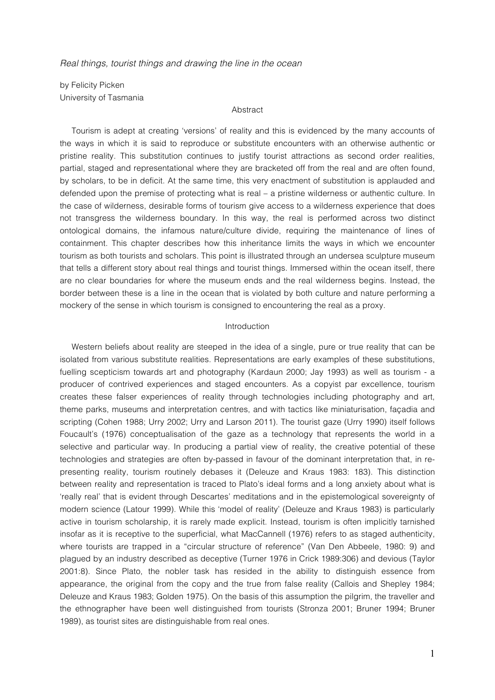by Felicity Picken University of Tasmania

## Abstract

Tourism is adept at creating 'versions' of reality and this is evidenced by the many accounts of the ways in which it is said to reproduce or substitute encounters with an otherwise authentic or pristine reality. This substitution continues to justify tourist attractions as second order realities, partial, staged and representational where they are bracketed off from the real and are often found, by scholars, to be in deficit. At the same time, this very enactment of substitution is applauded and defended upon the premise of protecting what is real – a pristine wilderness or authentic culture. In the case of wilderness, desirable forms of tourism give access to a wilderness experience that does not transgress the wilderness boundary. In this way, the real is performed across two distinct ontological domains, the infamous nature/culture divide, requiring the maintenance of lines of containment. This chapter describes how this inheritance limits the ways in which we encounter tourism as both tourists and scholars. This point is illustrated through an undersea sculpture museum that tells a different story about real things and tourist things. Immersed within the ocean itself, there are no clear boundaries for where the museum ends and the real wilderness begins. Instead, the border between these is a line in the ocean that is violated by both culture and nature performing a mockery of the sense in which tourism is consigned to encountering the real as a proxy.

#### Introduction

Western beliefs about reality are steeped in the idea of a single, pure or true reality that can be isolated from various substitute realities. Representations are early examples of these substitutions, fuelling scepticism towards art and photography (Kardaun 2000; Jay 1993) as well as tourism - a producer of contrived experiences and staged encounters. As a copyist par excellence, tourism creates these falser experiences of reality through technologies including photography and art, theme parks, museums and interpretation centres, and with tactics like miniaturisation, façadia and scripting (Cohen 1988; Urry 2002; Urry and Larson 2011). The tourist gaze (Urry 1990) itself follows Foucault's (1976) conceptualisation of the gaze as a technology that represents the world in a selective and particular way. In producing a partial view of reality, the creative potential of these technologies and strategies are often by-passed in favour of the dominant interpretation that, in representing reality, tourism routinely debases it (Deleuze and Kraus 1983: 183). This distinction between reality and representation is traced to Plato's ideal forms and a long anxiety about what is 'really real' that is evident through Descartes' meditations and in the epistemological sovereignty of modern science (Latour 1999). While this 'model of reality' (Deleuze and Kraus 1983) is particularly active in tourism scholarship, it is rarely made explicit. Instead, tourism is often implicitly tarnished insofar as it is receptive to the superficial, what MacCannell (1976) refers to as staged authenticity, where tourists are trapped in a "circular structure of reference" (Van Den Abbeele, 1980: 9) and plagued by an industry described as deceptive (Turner 1976 in Crick 1989:306) and devious (Taylor 2001:8). Since Plato, the nobler task has resided in the ability to distinguish essence from appearance, the original from the copy and the true from false reality (Callois and Shepley 1984; Deleuze and Kraus 1983; Golden 1975). On the basis of this assumption the pilgrim, the traveller and the ethnographer have been well distinguished from tourists (Stronza 2001; Bruner 1994; Bruner 1989), as tourist sites are distinguishable from real ones.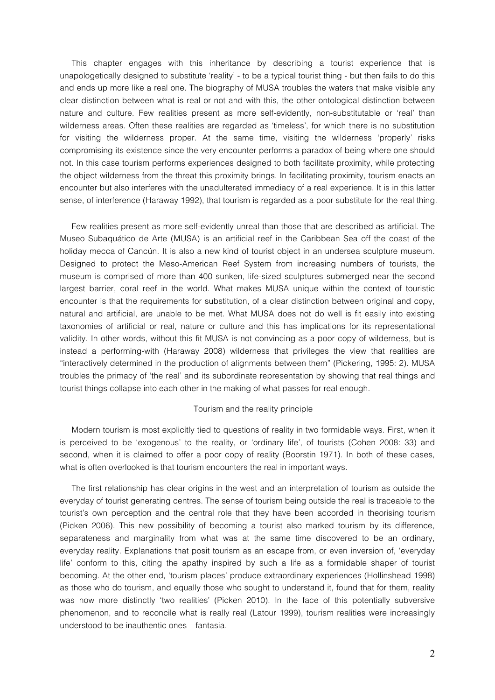This chapter engages with this inheritance by describing a tourist experience that is unapologetically designed to substitute 'reality' - to be a typical tourist thing - but then fails to do this and ends up more like a real one. The biography of MUSA troubles the waters that make visible any clear distinction between what is real or not and with this, the other ontological distinction between nature and culture. Few realities present as more self-evidently, non-substitutable or 'real' than wilderness areas. Often these realities are regarded as 'timeless', for which there is no substitution for visiting the wilderness proper. At the same time, visiting the wilderness 'properly' risks compromising its existence since the very encounter performs a paradox of being where one should not. In this case tourism performs experiences designed to both facilitate proximity, while protecting the object wilderness from the threat this proximity brings. In facilitating proximity, tourism enacts an encounter but also interferes with the unadulterated immediacy of a real experience. It is in this latter sense, of interference (Haraway 1992), that tourism is regarded as a poor substitute for the real thing.

Few realities present as more self-evidently unreal than those that are described as artificial. The Museo Subaquático de Arte (MUSA) is an artificial reef in the Caribbean Sea off the coast of the holiday mecca of Cancún. It is also a new kind of tourist object in an undersea sculpture museum. Designed to protect the Meso-American Reef System from increasing numbers of tourists, the museum is comprised of more than 400 sunken, life-sized sculptures submerged near the second largest barrier, coral reef in the world. What makes MUSA unique within the context of touristic encounter is that the requirements for substitution, of a clear distinction between original and copy, natural and artificial, are unable to be met. What MUSA does not do well is fit easily into existing taxonomies of artificial or real, nature or culture and this has implications for its representational validity. In other words, without this fit MUSA is not convincing as a poor copy of wilderness, but is instead a performing-with (Haraway 2008) wilderness that privileges the view that realities are "interactively determined in the production of alignments between them" (Pickering, 1995: 2). MUSA troubles the primacy of 'the real' and its subordinate representation by showing that real things and tourist things collapse into each other in the making of what passes for real enough.

## Tourism and the reality principle

Modern tourism is most explicitly tied to questions of reality in two formidable ways. First, when it is perceived to be 'exogenous' to the reality, or 'ordinary life', of tourists (Cohen 2008: 33) and second, when it is claimed to offer a poor copy of reality (Boorstin 1971). In both of these cases, what is often overlooked is that tourism encounters the real in important ways.

The first relationship has clear origins in the west and an interpretation of tourism as outside the everyday of tourist generating centres. The sense of tourism being outside the real is traceable to the tourist's own perception and the central role that they have been accorded in theorising tourism (Picken 2006). This new possibility of becoming a tourist also marked tourism by its difference, separateness and marginality from what was at the same time discovered to be an ordinary, everyday reality. Explanations that posit tourism as an escape from, or even inversion of, 'everyday life' conform to this, citing the apathy inspired by such a life as a formidable shaper of tourist becoming. At the other end, 'tourism places' produce extraordinary experiences (Hollinshead 1998) as those who do tourism, and equally those who sought to understand it, found that for them, reality was now more distinctly 'two realities' (Picken 2010). In the face of this potentially subversive phenomenon, and to reconcile what is really real (Latour 1999), tourism realities were increasingly understood to be inauthentic ones – fantasia.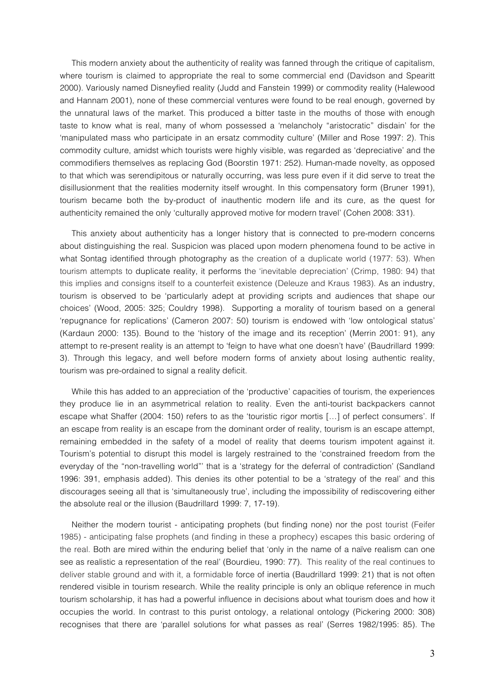This modern anxiety about the authenticity of reality was fanned through the critique of capitalism, where tourism is claimed to appropriate the real to some commercial end (Davidson and Spearitt 2000). Variously named Disneyfied reality (Judd and Fanstein 1999) or commodity reality (Halewood and Hannam 2001), none of these commercial ventures were found to be real enough, governed by the unnatural laws of the market. This produced a bitter taste in the mouths of those with enough taste to know what is real, many of whom possessed a 'melancholy "aristocratic" disdain' for the 'manipulated mass who participate in an ersatz commodity culture' (Miller and Rose 1997: 2). This commodity culture, amidst which tourists were highly visible, was regarded as 'depreciative' and the commodifiers themselves as replacing God (Boorstin 1971: 252). Human-made novelty, as opposed to that which was serendipitous or naturally occurring, was less pure even if it did serve to treat the disillusionment that the realities modernity itself wrought. In this compensatory form (Bruner 1991), tourism became both the by-product of inauthentic modern life and its cure, as the quest for authenticity remained the only 'culturally approved motive for modern travel' (Cohen 2008: 331).

This anxiety about authenticity has a longer history that is connected to pre-modern concerns about distinguishing the real. Suspicion was placed upon modern phenomena found to be active in what Sontag identified through photography as the creation of a duplicate world (1977: 53). When tourism attempts to duplicate reality, it performs the 'inevitable depreciation' (Crimp, 1980: 94) that this implies and consigns itself to a counterfeit existence (Deleuze and Kraus 1983). As an industry, tourism is observed to be 'particularly adept at providing scripts and audiences that shape our choices' (Wood, 2005: 325; Couldry 1998). Supporting a morality of tourism based on a general 'repugnance for replications' (Cameron 2007: 50) tourism is endowed with 'low ontological status' (Kardaun 2000: 135). Bound to the 'history of the image and its reception' (Merrin 2001: 91), any attempt to re-present reality is an attempt to 'feign to have what one doesn't have' (Baudrillard 1999: 3). Through this legacy, and well before modern forms of anxiety about losing authentic reality, tourism was pre-ordained to signal a reality deficit.

While this has added to an appreciation of the 'productive' capacities of tourism, the experiences they produce lie in an asymmetrical relation to reality. Even the anti-tourist backpackers cannot escape what Shaffer (2004: 150) refers to as the 'touristic rigor mortis […] of perfect consumers'. If an escape from reality is an escape from the dominant order of reality, tourism is an escape attempt, remaining embedded in the safety of a model of reality that deems tourism impotent against it. Tourism's potential to disrupt this model is largely restrained to the 'constrained freedom from the everyday of the "non-travelling world"' that is a 'strategy for the deferral of contradiction' (Sandland 1996: 391, emphasis added). This denies its other potential to be a 'strategy of the real' and this discourages seeing all that is 'simultaneously true', including the impossibility of rediscovering either the absolute real or the illusion (Baudrillard 1999: 7, 17-19).

Neither the modern tourist - anticipating prophets (but finding none) nor the post tourist (Feifer 1985) - anticipating false prophets (and finding in these a prophecy) escapes this basic ordering of the real. Both are mired within the enduring belief that 'only in the name of a naïve realism can one see as realistic a representation of the real' (Bourdieu, 1990: 77). This reality of the real continues to deliver stable ground and with it, a formidable force of inertia (Baudrillard 1999: 21) that is not often rendered visible in tourism research. While the reality principle is only an oblique reference in much tourism scholarship, it has had a powerful influence in decisions about what tourism does and how it occupies the world. In contrast to this purist ontology, a relational ontology (Pickering 2000: 308) recognises that there are 'parallel solutions for what passes as real' (Serres 1982/1995: 85). The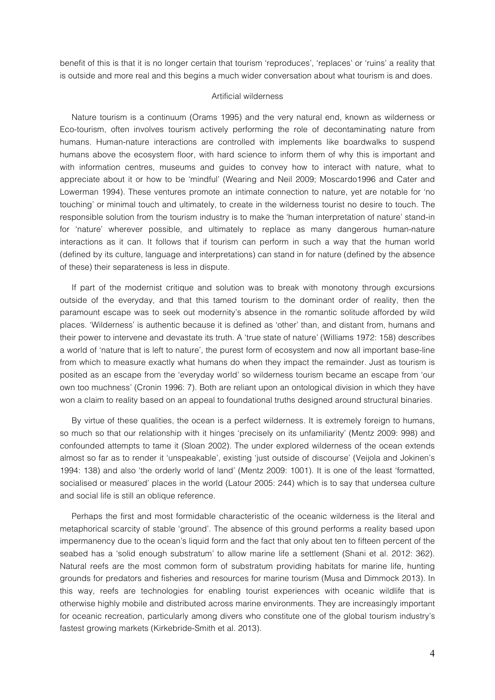benefit of this is that it is no longer certain that tourism 'reproduces', 'replaces' or 'ruins' a reality that is outside and more real and this begins a much wider conversation about what tourism is and does.

# Artificial wilderness

Nature tourism is a continuum (Orams 1995) and the very natural end, known as wilderness or Eco-tourism, often involves tourism actively performing the role of decontaminating nature from humans. Human-nature interactions are controlled with implements like boardwalks to suspend humans above the ecosystem floor, with hard science to inform them of why this is important and with information centres, museums and guides to convey how to interact with nature, what to appreciate about it or how to be 'mindful' (Wearing and Neil 2009; Moscardo1996 and Cater and Lowerman 1994). These ventures promote an intimate connection to nature, yet are notable for 'no touching' or minimal touch and ultimately, to create in the wilderness tourist no desire to touch. The responsible solution from the tourism industry is to make the 'human interpretation of nature' stand-in for 'nature' wherever possible, and ultimately to replace as many dangerous human-nature interactions as it can. It follows that if tourism can perform in such a way that the human world (defined by its culture, language and interpretations) can stand in for nature (defined by the absence of these) their separateness is less in dispute.

If part of the modernist critique and solution was to break with monotony through excursions outside of the everyday, and that this tamed tourism to the dominant order of reality, then the paramount escape was to seek out modernity's absence in the romantic solitude afforded by wild places. 'Wilderness' is authentic because it is defined as 'other' than, and distant from, humans and their power to intervene and devastate its truth. A 'true state of nature' (Williams 1972: 158) describes a world of 'nature that is left to nature', the purest form of ecosystem and now all important base-line from which to measure exactly what humans do when they impact the remainder. Just as tourism is posited as an escape from the 'everyday world' so wilderness tourism became an escape from 'our own too muchness' (Cronin 1996: 7). Both are reliant upon an ontological division in which they have won a claim to reality based on an appeal to foundational truths designed around structural binaries.

By virtue of these qualities, the ocean is a perfect wilderness. It is extremely foreign to humans, so much so that our relationship with it hinges 'precisely on its unfamiliarity' (Mentz 2009: 998) and confounded attempts to tame it (Sloan 2002). The under explored wilderness of the ocean extends almost so far as to render it 'unspeakable', existing 'just outside of discourse' (Veijola and Jokinen's 1994: 138) and also 'the orderly world of land' (Mentz 2009: 1001). It is one of the least 'formatted, socialised or measured' places in the world (Latour 2005: 244) which is to say that undersea culture and social life is still an oblique reference.

Perhaps the first and most formidable characteristic of the oceanic wilderness is the literal and metaphorical scarcity of stable 'ground'. The absence of this ground performs a reality based upon impermanency due to the ocean's liquid form and the fact that only about ten to fifteen percent of the seabed has a 'solid enough substratum' to allow marine life a settlement (Shani et al. 2012: 362). Natural reefs are the most common form of substratum providing habitats for marine life, hunting grounds for predators and fisheries and resources for marine tourism (Musa and Dimmock 2013). In this way, reefs are technologies for enabling tourist experiences with oceanic wildlife that is otherwise highly mobile and distributed across marine environments. They are increasingly important for oceanic recreation, particularly among divers who constitute one of the global tourism industry's fastest growing markets (Kirkebride-Smith et al. 2013).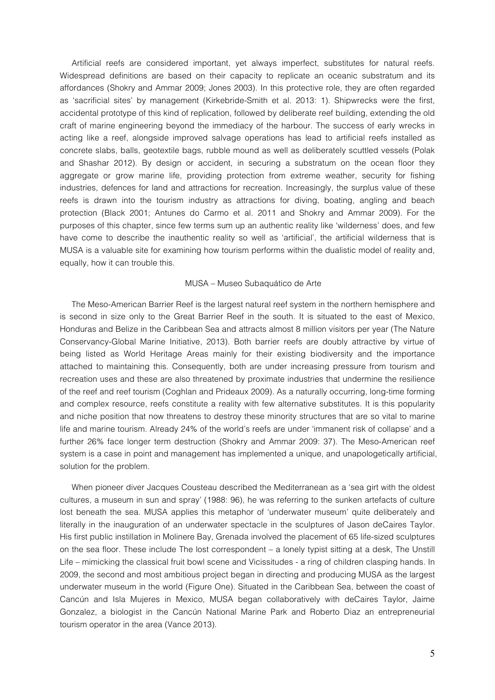Artificial reefs are considered important, yet always imperfect, substitutes for natural reefs. Widespread definitions are based on their capacity to replicate an oceanic substratum and its affordances (Shokry and Ammar 2009; Jones 2003). In this protective role, they are often regarded as 'sacrificial sites' by management (Kirkebride-Smith et al. 2013: 1). Shipwrecks were the first, accidental prototype of this kind of replication, followed by deliberate reef building, extending the old craft of marine engineering beyond the immediacy of the harbour. The success of early wrecks in acting like a reef, alongside improved salvage operations has lead to artificial reefs installed as concrete slabs, balls, geotextile bags, rubble mound as well as deliberately scuttled vessels (Polak and Shashar 2012). By design or accident, in securing a substratum on the ocean floor they aggregate or grow marine life, providing protection from extreme weather, security for fishing industries, defences for land and attractions for recreation. Increasingly, the surplus value of these reefs is drawn into the tourism industry as attractions for diving, boating, angling and beach protection (Black 2001; Antunes do Carmo et al. 2011 and Shokry and Ammar 2009). For the purposes of this chapter, since few terms sum up an authentic reality like 'wilderness' does, and few have come to describe the inauthentic reality so well as 'artificial', the artificial wilderness that is MUSA is a valuable site for examining how tourism performs within the dualistic model of reality and, equally, how it can trouble this.

#### MUSA – Museo Subaquático de Arte

The Meso-American Barrier Reef is the largest natural reef system in the northern hemisphere and is second in size only to the Great Barrier Reef in the south. It is situated to the east of Mexico, Honduras and Belize in the Caribbean Sea and attracts almost 8 million visitors per year (The Nature Conservancy-Global Marine Initiative, 2013). Both barrier reefs are doubly attractive by virtue of being listed as World Heritage Areas mainly for their existing biodiversity and the importance attached to maintaining this. Consequently, both are under increasing pressure from tourism and recreation uses and these are also threatened by proximate industries that undermine the resilience of the reef and reef tourism (Coghlan and Prideaux 2009). As a naturally occurring, long-time forming and complex resource, reefs constitute a reality with few alternative substitutes. It is this popularity and niche position that now threatens to destroy these minority structures that are so vital to marine life and marine tourism. Already 24% of the world's reefs are under 'immanent risk of collapse' and a further 26% face longer term destruction (Shokry and Ammar 2009: 37). The Meso-American reef system is a case in point and management has implemented a unique, and unapologetically artificial, solution for the problem.

When pioneer diver Jacques Cousteau described the Mediterranean as a 'sea girt with the oldest cultures, a museum in sun and spray' (1988: 96), he was referring to the sunken artefacts of culture lost beneath the sea. MUSA applies this metaphor of 'underwater museum' quite deliberately and literally in the inauguration of an underwater spectacle in the sculptures of Jason deCaires Taylor. His first public instillation in Molinere Bay, Grenada involved the placement of 65 life-sized sculptures on the sea floor. These include The lost correspondent – a lonely typist sitting at a desk, The Unstill Life – mimicking the classical fruit bowl scene and Vicissitudes - a ring of children clasping hands. In 2009, the second and most ambitious project began in directing and producing MUSA as the largest underwater museum in the world (Figure One). Situated in the Caribbean Sea, between the coast of Cancún and Isla Mujeres in Mexico, MUSA began collaboratively with deCaires Taylor, Jaime Gonzalez, a biologist in the Cancún National Marine Park and Roberto Diaz an entrepreneurial tourism operator in the area (Vance 2013).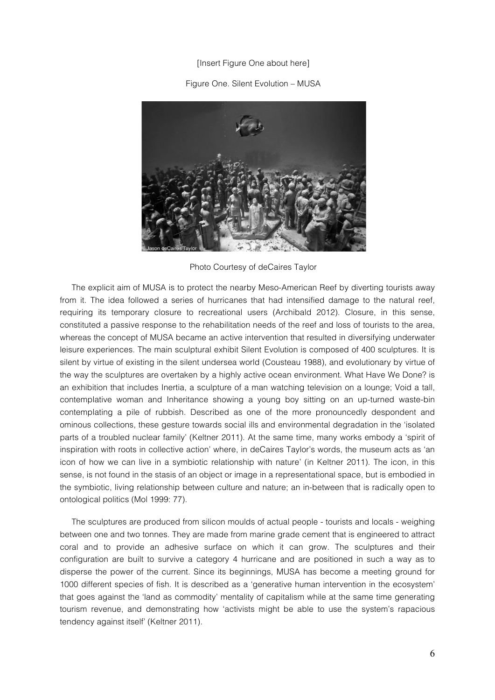#### [Insert Figure One about here]

### Figure One. Silent Evolution – MUSA



Photo Courtesy of deCaires Taylor

The explicit aim of MUSA is to protect the nearby Meso-American Reef by diverting tourists away from it. The idea followed a series of hurricanes that had intensified damage to the natural reef, requiring its temporary closure to recreational users (Archibald 2012). Closure, in this sense, constituted a passive response to the rehabilitation needs of the reef and loss of tourists to the area, whereas the concept of MUSA became an active intervention that resulted in diversifying underwater leisure experiences. The main sculptural exhibit Silent Evolution is composed of 400 sculptures. It is silent by virtue of existing in the silent undersea world (Cousteau 1988), and evolutionary by virtue of the way the sculptures are overtaken by a highly active ocean environment. What Have We Done? is an exhibition that includes Inertia, a sculpture of a man watching television on a lounge; Void a tall, contemplative woman and Inheritance showing a young boy sitting on an up-turned waste-bin contemplating a pile of rubbish. Described as one of the more pronouncedly despondent and ominous collections, these gesture towards social ills and environmental degradation in the 'isolated parts of a troubled nuclear family' (Keltner 2011). At the same time, many works embody a 'spirit of inspiration with roots in collective action' where, in deCaires Taylor's words, the museum acts as 'an icon of how we can live in a symbiotic relationship with nature' (in Keltner 2011). The icon, in this sense, is not found in the stasis of an object or image in a representational space, but is embodied in the symbiotic, living relationship between culture and nature; an in-between that is radically open to ontological politics (Mol 1999: 77).

The sculptures are produced from silicon moulds of actual people - tourists and locals - weighing between one and two tonnes. They are made from marine grade cement that is engineered to attract coral and to provide an adhesive surface on which it can grow. The sculptures and their configuration are built to survive a category 4 hurricane and are positioned in such a way as to disperse the power of the current. Since its beginnings, MUSA has become a meeting ground for 1000 different species of fish. It is described as a 'generative human intervention in the ecosystem' that goes against the 'land as commodity' mentality of capitalism while at the same time generating tourism revenue, and demonstrating how 'activists might be able to use the system's rapacious tendency against itself' (Keltner 2011).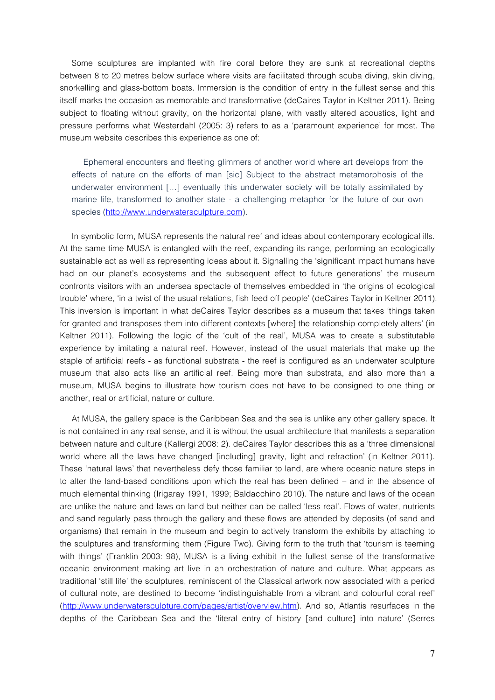Some sculptures are implanted with fire coral before they are sunk at recreational depths between 8 to 20 metres below surface where visits are facilitated through scuba diving, skin diving, snorkelling and glass-bottom boats. Immersion is the condition of entry in the fullest sense and this itself marks the occasion as memorable and transformative (deCaires Taylor in Keltner 2011). Being subject to floating without gravity, on the horizontal plane, with vastly altered acoustics, light and pressure performs what Westerdahl (2005: 3) refers to as a 'paramount experience' for most. The museum website describes this experience as one of:

Ephemeral encounters and fleeting glimmers of another world where art develops from the effects of nature on the efforts of man [sic] Subject to the abstract metamorphosis of the underwater environment […] eventually this underwater society will be totally assimilated by marine life, transformed to another state - a challenging metaphor for the future of our own species (http://www.underwatersculpture.com).

In symbolic form, MUSA represents the natural reef and ideas about contemporary ecological ills. At the same time MUSA is entangled with the reef, expanding its range, performing an ecologically sustainable act as well as representing ideas about it. Signalling the 'significant impact humans have had on our planet's ecosystems and the subsequent effect to future generations' the museum confronts visitors with an undersea spectacle of themselves embedded in 'the origins of ecological trouble' where, 'in a twist of the usual relations, fish feed off people' (deCaires Taylor in Keltner 2011). This inversion is important in what deCaires Taylor describes as a museum that takes 'things taken for granted and transposes them into different contexts [where] the relationship completely alters' (in Keltner 2011). Following the logic of the 'cult of the real', MUSA was to create a substitutable experience by imitating a natural reef. However, instead of the usual materials that make up the staple of artificial reefs - as functional substrata - the reef is configured as an underwater sculpture museum that also acts like an artificial reef. Being more than substrata, and also more than a museum, MUSA begins to illustrate how tourism does not have to be consigned to one thing or another, real or artificial, nature or culture.

At MUSA, the gallery space is the Caribbean Sea and the sea is unlike any other gallery space. It is not contained in any real sense, and it is without the usual architecture that manifests a separation between nature and culture (Kallergi 2008: 2). deCaires Taylor describes this as a 'three dimensional world where all the laws have changed [including] gravity, light and refraction' (in Keltner 2011). These 'natural laws' that nevertheless defy those familiar to land, are where oceanic nature steps in to alter the land-based conditions upon which the real has been defined – and in the absence of much elemental thinking (Irigaray 1991, 1999; Baldacchino 2010). The nature and laws of the ocean are unlike the nature and laws on land but neither can be called 'less real'. Flows of water, nutrients and sand regularly pass through the gallery and these flows are attended by deposits (of sand and organisms) that remain in the museum and begin to actively transform the exhibits by attaching to the sculptures and transforming them (Figure Two). Giving form to the truth that 'tourism is teeming with things' (Franklin 2003: 98), MUSA is a living exhibit in the fullest sense of the transformative oceanic environment making art live in an orchestration of nature and culture. What appears as traditional 'still life' the sculptures, reminiscent of the Classical artwork now associated with a period of cultural note, are destined to become 'indistinguishable from a vibrant and colourful coral reef' (http://www.underwatersculpture.com/pages/artist/overview.htm). And so, Atlantis resurfaces in the depths of the Caribbean Sea and the 'literal entry of history [and culture] into nature' (Serres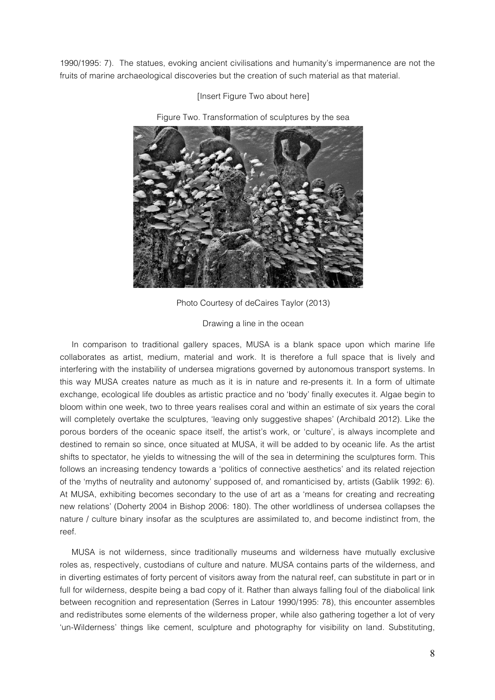1990/1995: 7). The statues, evoking ancient civilisations and humanity's impermanence are not the fruits of marine archaeological discoveries but the creation of such material as that material.

[Insert Figure Two about here]



Figure Two. Transformation of sculptures by the sea

Photo Courtesy of deCaires Taylor (2013)

Drawing a line in the ocean

In comparison to traditional gallery spaces, MUSA is a blank space upon which marine life collaborates as artist, medium, material and work. It is therefore a full space that is lively and interfering with the instability of undersea migrations governed by autonomous transport systems. In this way MUSA creates nature as much as it is in nature and re-presents it. In a form of ultimate exchange, ecological life doubles as artistic practice and no 'body' finally executes it. Algae begin to bloom within one week, two to three years realises coral and within an estimate of six years the coral will completely overtake the sculptures, 'leaving only suggestive shapes' (Archibald 2012). Like the porous borders of the oceanic space itself, the artist's work, or 'culture', is always incomplete and destined to remain so since, once situated at MUSA, it will be added to by oceanic life. As the artist shifts to spectator, he yields to witnessing the will of the sea in determining the sculptures form. This follows an increasing tendency towards a 'politics of connective aesthetics' and its related rejection of the 'myths of neutrality and autonomy' supposed of, and romanticised by, artists (Gablik 1992: 6). At MUSA, exhibiting becomes secondary to the use of art as a 'means for creating and recreating new relations' (Doherty 2004 in Bishop 2006: 180). The other worldliness of undersea collapses the nature / culture binary insofar as the sculptures are assimilated to, and become indistinct from, the reef.

MUSA is not wilderness, since traditionally museums and wilderness have mutually exclusive roles as, respectively, custodians of culture and nature. MUSA contains parts of the wilderness, and in diverting estimates of forty percent of visitors away from the natural reef, can substitute in part or in full for wilderness, despite being a bad copy of it. Rather than always falling foul of the diabolical link between recognition and representation (Serres in Latour 1990/1995: 78), this encounter assembles and redistributes some elements of the wilderness proper, while also gathering together a lot of very 'un-Wilderness' things like cement, sculpture and photography for visibility on land. Substituting,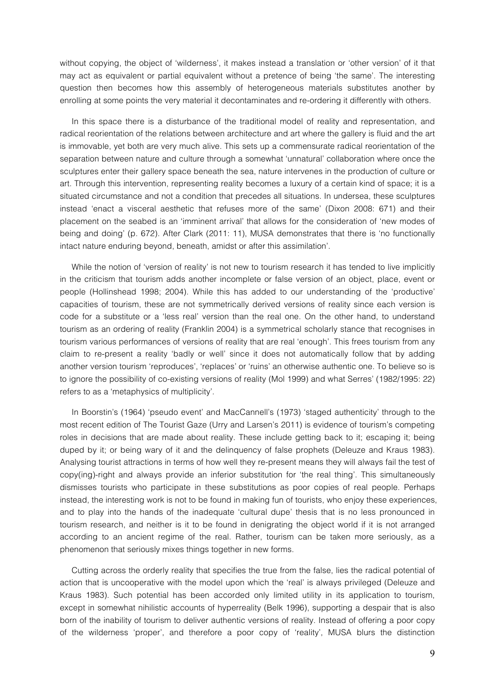without copying, the object of 'wilderness', it makes instead a translation or 'other version' of it that may act as equivalent or partial equivalent without a pretence of being 'the same'. The interesting question then becomes how this assembly of heterogeneous materials substitutes another by enrolling at some points the very material it decontaminates and re-ordering it differently with others.

In this space there is a disturbance of the traditional model of reality and representation, and radical reorientation of the relations between architecture and art where the gallery is fluid and the art is immovable, yet both are very much alive. This sets up a commensurate radical reorientation of the separation between nature and culture through a somewhat 'unnatural' collaboration where once the sculptures enter their gallery space beneath the sea, nature intervenes in the production of culture or art. Through this intervention, representing reality becomes a luxury of a certain kind of space; it is a situated circumstance and not a condition that precedes all situations. In undersea, these sculptures instead 'enact a visceral aesthetic that refuses more of the same' (Dixon 2008: 671) and their placement on the seabed is an 'imminent arrival' that allows for the consideration of 'new modes of being and doing' (p. 672). After Clark (2011: 11), MUSA demonstrates that there is 'no functionally intact nature enduring beyond, beneath, amidst or after this assimilation'.

While the notion of 'version of reality' is not new to tourism research it has tended to live implicitly in the criticism that tourism adds another incomplete or false version of an object, place, event or people (Hollinshead 1998; 2004). While this has added to our understanding of the 'productive' capacities of tourism, these are not symmetrically derived versions of reality since each version is code for a substitute or a 'less real' version than the real one. On the other hand, to understand tourism as an ordering of reality (Franklin 2004) is a symmetrical scholarly stance that recognises in tourism various performances of versions of reality that are real 'enough'. This frees tourism from any claim to re-present a reality 'badly or well' since it does not automatically follow that by adding another version tourism 'reproduces', 'replaces' or 'ruins' an otherwise authentic one. To believe so is to ignore the possibility of co-existing versions of reality (Mol 1999) and what Serres' (1982/1995: 22) refers to as a 'metaphysics of multiplicity'.

In Boorstin's (1964) 'pseudo event' and MacCannell's (1973) 'staged authenticity' through to the most recent edition of The Tourist Gaze (Urry and Larsen's 2011) is evidence of tourism's competing roles in decisions that are made about reality. These include getting back to it; escaping it; being duped by it; or being wary of it and the delinquency of false prophets (Deleuze and Kraus 1983). Analysing tourist attractions in terms of how well they re-present means they will always fail the test of copy(ing)-right and always provide an inferior substitution for 'the real thing'. This simultaneously dismisses tourists who participate in these substitutions as poor copies of real people. Perhaps instead, the interesting work is not to be found in making fun of tourists, who enjoy these experiences, and to play into the hands of the inadequate 'cultural dupe' thesis that is no less pronounced in tourism research, and neither is it to be found in denigrating the object world if it is not arranged according to an ancient regime of the real. Rather, tourism can be taken more seriously, as a phenomenon that seriously mixes things together in new forms.

Cutting across the orderly reality that specifies the true from the false, lies the radical potential of action that is uncooperative with the model upon which the 'real' is always privileged (Deleuze and Kraus 1983). Such potential has been accorded only limited utility in its application to tourism, except in somewhat nihilistic accounts of hyperreality (Belk 1996), supporting a despair that is also born of the inability of tourism to deliver authentic versions of reality. Instead of offering a poor copy of the wilderness 'proper', and therefore a poor copy of 'reality', MUSA blurs the distinction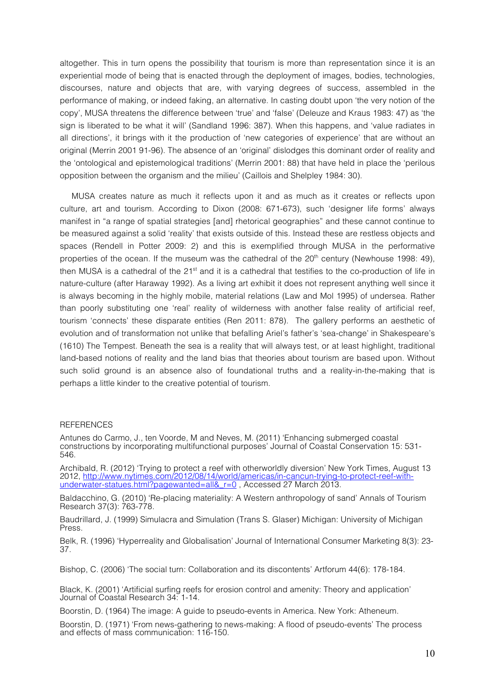altogether. This in turn opens the possibility that tourism is more than representation since it is an experiential mode of being that is enacted through the deployment of images, bodies, technologies, discourses, nature and objects that are, with varying degrees of success, assembled in the performance of making, or indeed faking, an alternative. In casting doubt upon 'the very notion of the copy', MUSA threatens the difference between 'true' and 'false' (Deleuze and Kraus 1983: 47) as 'the sign is liberated to be what it will' (Sandland 1996: 387). When this happens, and 'value radiates in all directions', it brings with it the production of 'new categories of experience' that are without an original (Merrin 2001 91-96). The absence of an 'original' dislodges this dominant order of reality and the 'ontological and epistemological traditions' (Merrin 2001: 88) that have held in place the 'perilous opposition between the organism and the milieu' (Caillois and Shelpley 1984: 30).

MUSA creates nature as much it reflects upon it and as much as it creates or reflects upon culture, art and tourism. According to Dixon (2008: 671-673), such 'designer life forms' always manifest in "a range of spatial strategies [and] rhetorical geographies" and these cannot continue to be measured against a solid 'reality' that exists outside of this. Instead these are restless objects and spaces (Rendell in Potter 2009: 2) and this is exemplified through MUSA in the performative properties of the ocean. If the museum was the cathedral of the  $20<sup>th</sup>$  century (Newhouse 1998: 49), then MUSA is a cathedral of the  $21<sup>st</sup>$  and it is a cathedral that testifies to the co-production of life in nature-culture (after Haraway 1992). As a living art exhibit it does not represent anything well since it is always becoming in the highly mobile, material relations (Law and Mol 1995) of undersea. Rather than poorly substituting one 'real' reality of wilderness with another false reality of artificial reef, tourism 'connects' these disparate entities (Ren 2011: 878). The gallery performs an aesthetic of evolution and of transformation not unlike that befalling Ariel's father's 'sea-change' in Shakespeare's (1610) The Tempest. Beneath the sea is a reality that will always test, or at least highlight, traditional land-based notions of reality and the land bias that theories about tourism are based upon. Without such solid ground is an absence also of foundational truths and a reality-in-the-making that is perhaps a little kinder to the creative potential of tourism.

## **REFERENCES**

Antunes do Carmo, J., ten Voorde, M and Neves, M. (2011) 'Enhancing submerged coastal constructions by incorporating multifunctional purposes' Journal of Coastal Conservation 15: 531- 546.

Archibald, R. (2012) 'Trying to protect a reef with otherworldly diversion' New York Times, August 13 2012, http://www.nytimes.com/2012/08/14/world/americas/in-cancun-trying-to-protect-reef-withunderwater-statues.html?pagewanted=all&r=0, Accessed 27 March 2013.

Baldacchino, G. (2010) 'Re-placing materiality: A Western anthropology of sand' Annals of Tourism Research 37(3): 763-778.

Baudrillard, J. (1999) Simulacra and Simulation (Trans S. Glaser) Michigan: University of Michigan Press.

Belk, R. (1996) 'Hyperreality and Globalisation' Journal of International Consumer Marketing 8(3): 23- 37.

Bishop, C. (2006) 'The social turn: Collaboration and its discontents' Artforum 44(6): 178-184.

Black, K. (2001) 'Artificial surfing reefs for erosion control and amenity: Theory and application' Journal of Coastal Research 34: 1-14.

Boorstin, D. (1964) The image: A guide to pseudo-events in America. New York: Atheneum.

Boorstin, D. (1971) 'From news-gathering to news-making: A flood of pseudo-events' The process and effects of mass communication: 116-150.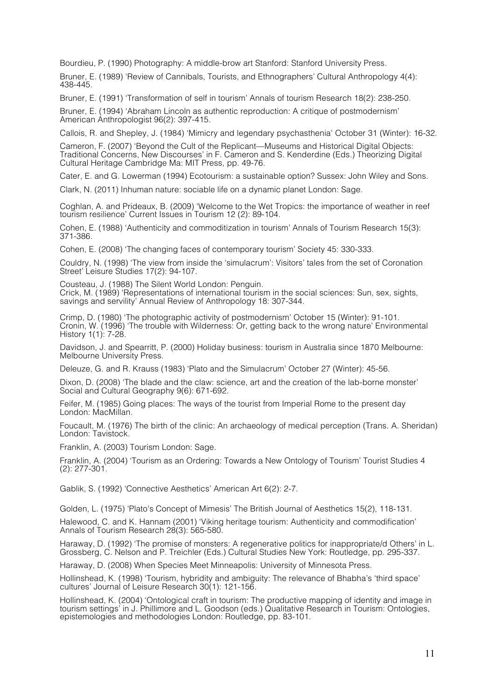Bourdieu, P. (1990) Photography: A middle-brow art Stanford: Stanford University Press.

Bruner, E. (1989) 'Review of Cannibals, Tourists, and Ethnographers' Cultural Anthropology 4(4): 438-445.

Bruner, E. (1991) 'Transformation of self in tourism' Annals of tourism Research 18(2): 238-250.

Bruner, E. (1994) 'Abraham Lincoln as authentic reproduction: A critique of postmodernism' American Anthropologist 96(2): 397-415.

Callois, R. and Shepley, J. (1984) 'Mimicry and legendary psychasthenia' October 31 (Winter): 16-32.

Cameron, F. (2007) 'Beyond the Cult of the Replicant—Museums and Historical Digital Objects: Traditional Concerns, New Discourses' in F. Cameron and S. Kenderdine (Eds.) Theorizing Digital Cultural Heritage Cambridge Ma: MIT Press, pp. 49-76.

Cater, E. and G. Lowerman (1994) Ecotourism: a sustainable option? Sussex: John Wiley and Sons.

Clark, N. (2011) Inhuman nature: sociable life on a dynamic planet London: Sage.

Coghlan, A. and Prideaux, B. (2009) 'Welcome to the Wet Tropics: the importance of weather in reef tourism resilience' Current Issues in Tourism 12 (2): 89-104.

Cohen, E. (1988) 'Authenticity and commoditization in tourism' Annals of Tourism Research 15(3): 371-386.

Cohen, E. (2008) 'The changing faces of contemporary tourism' Society 45: 330-333.

Couldry, N. (1998) 'The view from inside the 'simulacrum': Visitors' tales from the set of Coronation Street' Leisure Studies 17(2): 94-107.

Cousteau, J. (1988) The Silent World London: Penguin. Crick, M. (1989) 'Representations of international tourism in the social sciences: Sun, sex, sights, savings and servility' Annual Review of Anthropology 18: 307-344.

Crimp, D. (1980) 'The photographic activity of postmodernism' October 15 (Winter): 91-101. Cronin, W. (1996) 'The trouble with Wilderness: Or, getting back to the wrong nature' Environmental History 1(1): 7-28.

Davidson, J. and Spearritt, P. (2000) Holiday business: tourism in Australia since 1870 Melbourne: Melbourne University Press.

Deleuze, G. and R. Krauss (1983) 'Plato and the Simulacrum' October 27 (Winter): 45-56.

Dixon, D. (2008) 'The blade and the claw: science, art and the creation of the lab-borne monster' Social and Cultural Geography 9(6): 671-692.

Feifer, M. (1985) Going places: The ways of the tourist from Imperial Rome to the present day London: MacMillan.

Foucault, M. (1976) The birth of the clinic: An archaeology of medical perception (Trans. A. Sheridan) London: Tavistock.

Franklin, A. (2003) Tourism London: Sage.

Franklin, A. (2004) 'Tourism as an Ordering: Towards a New Ontology of Tourism' Tourist Studies 4 (2): 277-301.

Gablik, S. (1992) 'Connective Aesthetics' American Art 6(2): 2-7.

Golden, L. (1975) 'Plato's Concept of Mimesis' The British Journal of Aesthetics 15(2), 118-131.

Halewood, C. and K. Hannam (2001) 'Viking heritage tourism: Authenticity and commodification' Annals of Tourism Research 28(3): 565-580.

Haraway, D. (1992) 'The promise of monsters: A regenerative politics for inappropriate/d Others' in L. Grossberg, C. Nelson and P. Treichler (Eds.) Cultural Studies New York: Routledge, pp. 295-337.

Haraway, D. (2008) When Species Meet Minneapolis: University of Minnesota Press.

Hollinshead, K. (1998) 'Tourism, hybridity and ambiguity: The relevance of Bhabha's 'third space' cultures' Journal of Leisure Research 30(1): 121-156.

Hollinshead, K. (2004) 'Ontological craft in tourism: The productive mapping of identity and image in tourism settings' in J. Phillimore and L. Goodson (eds.) Qualitative Research in Tourism: Ontologies, epistemologies and methodologies London: Routledge, pp. 83-101.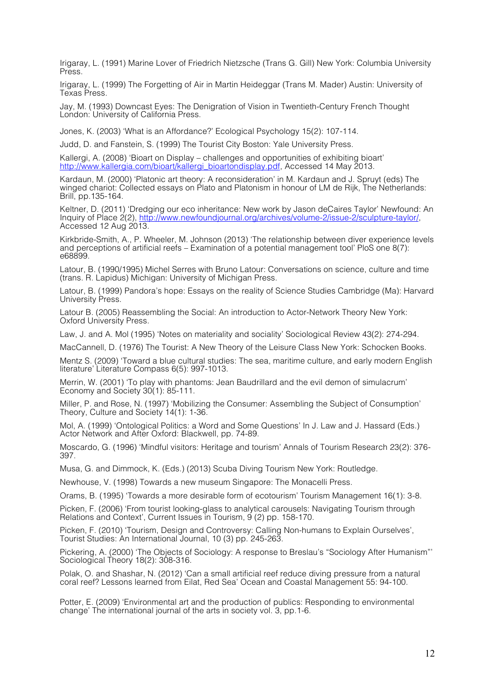Irigaray, L. (1991) Marine Lover of Friedrich Nietzsche (Trans G. Gill) New York: Columbia University Press.

Irigaray, L. (1999) The Forgetting of Air in Martin Heideggar (Trans M. Mader) Austin: University of Texas Press.

Jay, M. (1993) Downcast Eyes: The Denigration of Vision in Twentieth-Century French Thought London: University of California Press.

Jones, K. (2003) 'What is an Affordance?' Ecological Psychology 15(2): 107-114.

Judd, D. and Fanstein, S. (1999) The Tourist City Boston: Yale University Press.

Kallergi, A. (2008) 'Bioart on Display – challenges and opportunities of exhibiting bioart' http://www.kallergia.com/bioart/kallergi\_bioartondisplay.pdf, Accessed 14 May 2013.

Kardaun, M. (2000) 'Platonic art theory: A reconsideration' in M. Kardaun and J. Spruyt (eds) The winged chariot: Collected essays on Plato and Platonism in honour of LM de Rijk, The Netherlands: Brill, pp.135-164.

Keltner, D. (2011) 'Dredging our eco inheritance: New work by Jason deCaires Taylor' Newfound: An Inquiry of Place 2(2), http://www.newfoundjournal.org/archives/volume-2/issue-2/sculpture-taylor/, Accessed 12 Aug 2013.

Kirkbride-Smith, A., P. Wheeler, M. Johnson (2013) 'The relationship between diver experience levels and perceptions of artificial reefs – Examination of a potential management tool' PloS one 8(7): e68899.

Latour, B. (1990/1995) Michel Serres with Bruno Latour: Conversations on science, culture and time (trans. R. Lapidus) Michigan: University of Michigan Press.

Latour, B. (1999) Pandora's hope: Essays on the reality of Science Studies Cambridge (Ma): Harvard University Press.

Latour B. (2005) Reassembling the Social: An introduction to Actor-Network Theory New York: Oxford University Press.

Law, J. and A. Mol (1995) 'Notes on materiality and sociality' Sociological Review 43(2): 274-294.

MacCannell, D. (1976) The Tourist: A New Theory of the Leisure Class New York: Schocken Books.

Mentz S. (2009) 'Toward a blue cultural studies: The sea, maritime culture, and early modern English literature' Literature Compass 6(5): 997-1013.

Merrin, W. (2001) 'To play with phantoms: Jean Baudrillard and the evil demon of simulacrum' Economy and Society 30(1): 85-111.

Miller, P. and Rose, N. (1997) 'Mobilizing the Consumer: Assembling the Subject of Consumption' Theory, Culture and Society 14(1): 1-36.

Mol, A. (1999) 'Ontological Politics: a Word and Some Questions' In J. Law and J. Hassard (Eds.) Actor Network and After Oxford: Blackwell, pp. 74-89.

Moscardo, G. (1996) 'Mindful visitors: Heritage and tourism' Annals of Tourism Research 23(2): 376- 397.

Musa, G. and Dimmock, K. (Eds.) (2013) Scuba Diving Tourism New York: Routledge.

Newhouse, V. (1998) Towards a new museum Singapore: The Monacelli Press.

Orams, B. (1995) 'Towards a more desirable form of ecotourism' Tourism Management 16(1): 3-8.

Picken, F. (2006) 'From tourist looking-glass to analytical carousels: Navigating Tourism through Relations and Context', Current Issues in Tourism, 9 (2) pp. 158-170.

Picken, F. (2010) 'Tourism, Design and Controversy: Calling Non-humans to Explain Ourselves', Tourist Studies: An International Journal, 10 (3) pp. 245-263.

Pickering, A. (2000) 'The Objects of Sociology: A response to Breslau's "Sociology After Humanism"' Sociological Theory 18(2): 308-316.

Polak, O. and Shashar, N. (2012) 'Can a small artificial reef reduce diving pressure from a natural coral reef? Lessons learned from Eilat, Red Sea' Ocean and Coastal Management 55: 94-100.

Potter, E. (2009) 'Environmental art and the production of publics: Responding to environmental change' The international journal of the arts in society vol. 3, pp.1-6.